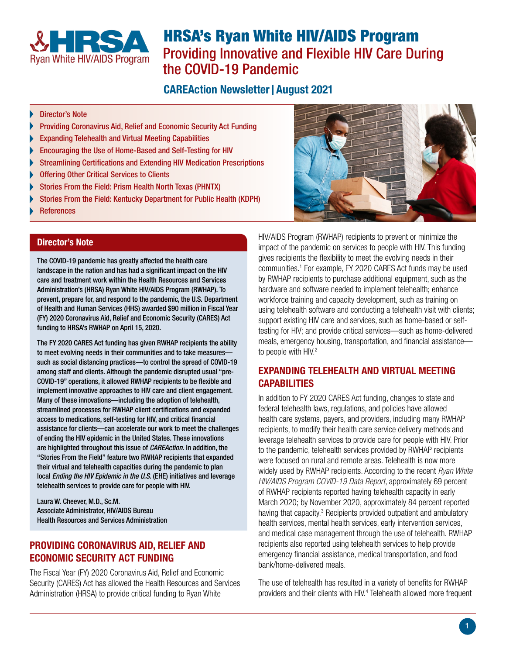

# HRSA's Ryan White HIV/AIDS Program Providing Innovative and Flexible HIV Care During the COVID-19 Pandemic

## **CAREAction Newsletter | August 2021**

- Director's Note
- [Providing Coronavirus Aid, Relief and Economic Security Act Funding](#page-0-0)
- [Expanding Telehealth and Virtual Meeting Capabilities](#page-0-1)
- [Encouraging the Use of Home-Based and Self-Testing for HIV](#page-1-0)
- [Streamlining Certifications and Extending HIV Medication Prescriptions](#page-1-1)
- [Offering Other Critical Services to Clients](#page-1-2)
- [Stories From the Field: Prism Health North Texas \(PHNTX\)](#page-1-3)
- [Stories From the Field: Kentucky Department for Public Health \(KDPH\)](#page-2-0)
- [References](#page-3-0)

#### Director's Note

The COVID-19 pandemic has greatly affected the health care landscape in the nation and has had a significant impact on the HIV care and treatment work within the Health Resources and Services Administration's (HRSA) Ryan White HIV/AIDS Program (RWHAP). To prevent, prepare for, and respond to the pandemic, the U.S. Department of Health and Human Services (HHS) awarded \$90 million in Fiscal Year (FY) 2020 Coronavirus Aid, Relief and Economic Security (CARES) Act funding to HRSA's RWHAP on April 15, 2020.

The FY 2020 CARES Act funding has given RWHAP recipients the ability to meet evolving needs in their communities and to take measures such as social distancing practices—to control the spread of COVID-19 among staff and clients. Although the pandemic disrupted usual "pre-COVID-19" operations, it allowed RWHAP recipients to be flexible and implement innovative approaches to HIV care and client engagement. Many of these innovations—including the adoption of telehealth, streamlined processes for RWHAP client certifications and expanded access to medications, self-testing for HIV, and critical financial assistance for clients—can accelerate our work to meet the challenges of ending the HIV epidemic in the United States. These innovations are highlighted throughout this issue of *CAREAction.* In addition, the "Stories From the Field" feature two RWHAP recipients that expanded their virtual and telehealth capacities during the pandemic to plan local *Ending the HIV Epidemic in the U.S.* (EHE) initiatives and leverage telehealth services to provide care for people with HIV.

Laura W. Cheever, M.D., Sc.M. Associate Administrator, HIV/AIDS Bureau Health Resources and Services Administration

#### <span id="page-0-0"></span>PROVIDING CORONAVIRUS AID, RELIEF AND ECONOMIC SECURITY ACT FUNDING

The Fiscal Year (FY) 2020 Coronavirus Aid, Relief and Economic Security (CARES) Act has allowed the Health Resources and Services Administration (HRSA) to provide critical funding to Ryan White



HIV/AIDS Program (RWHAP) recipients to prevent or minimize the impact of the pandemic on services to people with HIV. This funding gives recipients the flexibility to meet the evolving needs in their communities.<sup>1</sup> For example, FY 2020 CARES Act funds may be used by RWHAP recipients to purchase additional equipment, such as the hardware and software needed to implement telehealth; enhance workforce training and capacity development, such as training on using telehealth software and conducting a telehealth visit with clients; support existing HIV care and services, such as home-based or selftesting for HIV; and provide critical services—such as home-delivered meals, emergency housing, transportation, and financial assistance to people with HIV.<sup>2</sup>

#### <span id="page-0-1"></span>EXPANDING TELEHEALTH AND VIRTUAL MEETING CAPABILITIES

In addition to FY 2020 CARES Act funding, changes to state and federal telehealth laws, regulations, and policies have allowed health care systems, payers, and providers, including many RWHAP recipients, to modify their health care service delivery methods and leverage telehealth services to provide care for people with HIV. Prior to the pandemic, telehealth services provided by RWHAP recipients were focused on rural and remote areas. Telehealth is now more widely used by RWHAP recipients. According to the recent *Ryan White HIV/AIDS Program COVID-19 Data Report*, approximately 69 percent of RWHAP recipients reported having telehealth capacity in early March 2020; by November 2020, approximately 84 percent reported having that capacity. $3$  Recipients provided outpatient and ambulatory health services, mental health services, early intervention services, and medical case management through the use of telehealth. RWHAP recipients also reported using telehealth services to help provide emergency financial assistance, medical transportation, and food bank/home-delivered meals.

The use of telehealth has resulted in a variety of benefits for RWHAP providers and their clients with HIV.<sup>4</sup> Telehealth allowed more frequent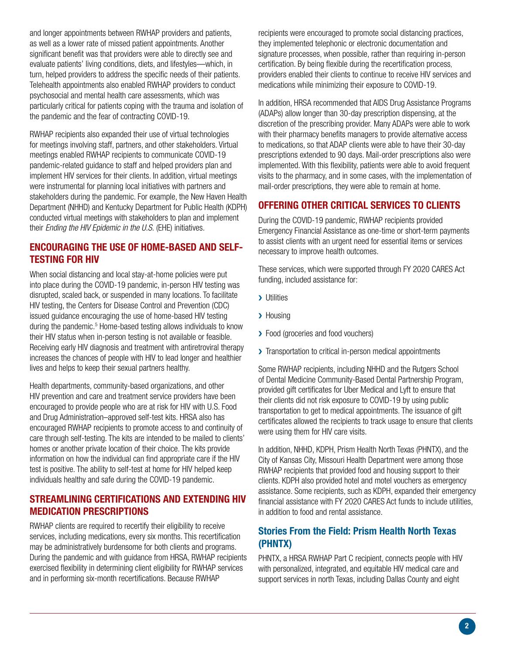and longer appointments between RWHAP providers and patients, as well as a lower rate of missed patient appointments. Another significant benefit was that providers were able to directly see and evaluate patients' living conditions, diets, and lifestyles—which, in turn, helped providers to address the specific needs of their patients. Telehealth appointments also enabled RWHAP providers to conduct psychosocial and mental health care assessments, which was particularly critical for patients coping with the trauma and isolation of the pandemic and the fear of contracting COVID-19.

RWHAP recipients also expanded their use of virtual technologies for meetings involving staff, partners, and other stakeholders. Virtual meetings enabled RWHAP recipients to communicate COVID-19 pandemic-related guidance to staff and helped providers plan and implement HIV services for their clients. In addition, virtual meetings were instrumental for planning local initiatives with partners and stakeholders during the pandemic. For example, the New Haven Health Department (NHHD) and Kentucky Department for Public Health (KDPH) conducted virtual meetings with stakeholders to plan and implement their *Ending the HIV Epidemic in the U.S.* (EHE) initiatives.

#### <span id="page-1-0"></span>ENCOURAGING THE USE OF HOME-BASED AND SELF-TESTING FOR HIV

When social distancing and local stay-at-home policies were put into place during the COVID-19 pandemic, in-person HIV testing was disrupted, scaled back, or suspended in many locations. To facilitate HIV testing, the Centers for Disease Control and Prevention (CDC) issued guidance encouraging the use of home-based HIV testing during the pandemic.<sup>5</sup> Home-based testing allows individuals to know their HIV status when in-person testing is not available or feasible. Receiving early HIV diagnosis and treatment with antiretroviral therapy increases the chances of people with HIV to lead longer and healthier lives and helps to keep their sexual partners healthy.

Health departments, community-based organizations, and other HIV prevention and care and treatment service providers have been encouraged to provide people who are at risk for HIV with U.S. Food and Drug Administration–approved self-test kits. HRSA also has encouraged RWHAP recipients to promote access to and continuity of care through self-testing. The kits are intended to be mailed to clients' homes or another private location of their choice. The kits provide information on how the individual can find appropriate care if the HIV test is positive. The ability to self-test at home for HIV helped keep individuals healthy and safe during the COVID-19 pandemic.

## <span id="page-1-1"></span>STREAMLINING CERTIFICATIONS AND EXTENDING HIV MEDICATION PRESCRIPTIONS

RWHAP clients are required to recertify their eligibility to receive services, including medications, every six months. This recertification may be administratively burdensome for both clients and programs. During the pandemic and with guidance from HRSA, RWHAP recipients exercised flexibility in determining client eligibility for RWHAP services and in performing six-month recertifications. Because RWHAP

recipients were encouraged to promote social distancing practices, they implemented telephonic or electronic documentation and signature processes, when possible, rather than requiring in-person certification. By being flexible during the recertification process, providers enabled their clients to continue to receive HIV services and medications while minimizing their exposure to COVID-19.

In addition, HRSA recommended that AIDS Drug Assistance Programs (ADAPs) allow longer than 30-day prescription dispensing, at the discretion of the prescribing provider. Many ADAPs were able to work with their pharmacy benefits managers to provide alternative access to medications, so that ADAP clients were able to have their 30-day prescriptions extended to 90 days. Mail-order prescriptions also were implemented. With this flexibility, patients were able to avoid frequent visits to the pharmacy, and in some cases, with the implementation of mail-order prescriptions, they were able to remain at home.

## <span id="page-1-2"></span>OFFERING OTHER CRITICAL SERVICES TO CLIENTS

During the COVID-19 pandemic, RWHAP recipients provided Emergency Financial Assistance as one-time or short-term payments to assist clients with an urgent need for essential items or services necessary to improve health outcomes.

These services, which were supported through FY 2020 CARES Act funding, included assistance for:

- **>** Utilities
- > Housing
- ▶ Food (groceries and food vouchers)
- > Transportation to critical in-person medical appointments

Some RWHAP recipients, including NHHD and the Rutgers School of Dental Medicine Community-Based Dental Partnership Program, provided gift certificates for Uber Medical and Lyft to ensure that their clients did not risk exposure to COVID-19 by using public transportation to get to medical appointments. The issuance of gift certificates allowed the recipients to track usage to ensure that clients were using them for HIV care visits.

In addition, NHHD, KDPH, Prism Health North Texas (PHNTX), and the City of Kansas City, Missouri Health Department were among those RWHAP recipients that provided food and housing support to their clients. KDPH also provided hotel and motel vouchers as emergency assistance. Some recipients, such as KDPH, expanded their emergency financial assistance with FY 2020 CARES Act funds to include utilities, in addition to food and rental assistance.

#### <span id="page-1-3"></span>Stories From the Field: Prism Health North Texas (PHNTX)

PHNTX, a HRSA RWHAP Part C recipient, connects people with HIV with personalized, integrated, and equitable HIV medical care and support services in north Texas, including Dallas County and eight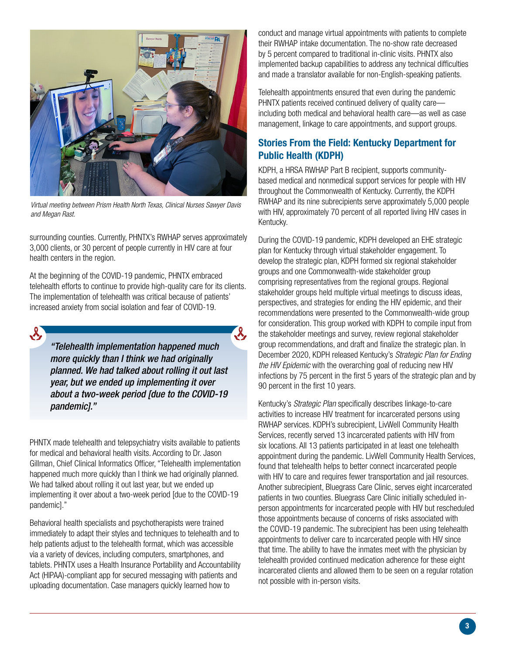

*Virtual meeting between Prism Health North Texas, Clinical Nurses Sawyer Davis and Megan Rast.*

surrounding counties. Currently, PHNTX's RWHAP serves approximately 3,000 clients, or 30 percent of people currently in HIV care at four health centers in the region.

At the beginning of the COVID-19 pandemic, PHNTX embraced telehealth efforts to continue to provide high-quality care for its clients. The implementation of telehealth was critical because of patients' increased anxiety from social isolation and fear of COVID-19.

*"Telehealth implementation happened much more quickly than I think we had originally planned. We had talked about rolling it out last year, but we ended up implementing it over about a two-week period [due to the COVID-19 pandemic]."*

 $\mathcal{S}_{\mathcal{A}}$ 

PHNTX made telehealth and telepsychiatry visits available to patients for medical and behavioral health visits. According to Dr. Jason Gillman, Chief Clinical Informatics Officer, "Telehealth implementation happened much more quickly than I think we had originally planned. We had talked about rolling it out last year, but we ended up implementing it over about a two-week period [due to the COVID-19 pandemic]."

Behavioral health specialists and psychotherapists were trained immediately to adapt their styles and techniques to telehealth and to help patients adjust to the telehealth format, which was accessible via a variety of devices, including computers, smartphones, and tablets. PHNTX uses a Health Insurance Portability and Accountability Act (HIPAA)-compliant app for secured messaging with patients and uploading documentation. Case managers quickly learned how to

conduct and manage virtual appointments with patients to complete their RWHAP intake documentation. The no-show rate decreased by 5 percent compared to traditional in-clinic visits. PHNTX also implemented backup capabilities to address any technical difficulties and made a translator available for non-English-speaking patients.

Telehealth appointments ensured that even during the pandemic PHNTX patients received continued delivery of quality care including both medical and behavioral health care—as well as case management, linkage to care appointments, and support groups.

## <span id="page-2-0"></span>Stories From the Field: Kentucky Department for Public Health (KDPH)

KDPH, a HRSA RWHAP Part B recipient, supports communitybased medical and nonmedical support services for people with HIV throughout the Commonwealth of Kentucky. Currently, the KDPH RWHAP and its nine subrecipients serve approximately 5,000 people with HIV, approximately 70 percent of all reported living HIV cases in Kentucky.

During the COVID-19 pandemic, KDPH developed an EHE strategic plan for Kentucky through virtual stakeholder engagement. To develop the strategic plan, KDPH formed six regional stakeholder groups and one Commonwealth-wide stakeholder group comprising representatives from the regional groups. Regional stakeholder groups held multiple virtual meetings to discuss ideas, perspectives, and strategies for ending the HIV epidemic, and their recommendations were presented to the Commonwealth-wide group for consideration. This group worked with KDPH to compile input from the stakeholder meetings and survey, review regional stakeholder group recommendations, and draft and finalize the strategic plan. In December 2020, KDPH released Kentucky's *Strategic Plan for Ending the HIV Epidemic* with the overarching goal of reducing new HIV infections by 75 percent in the first 5 years of the strategic plan and by 90 percent in the first 10 years.

Kentucky's *Strategic Plan* specifically describes linkage-to-care activities to increase HIV treatment for incarcerated persons using RWHAP services. KDPH's subrecipient, LivWell Community Health Services, recently served 13 incarcerated patients with HIV from six locations. All 13 patients participated in at least one telehealth appointment during the pandemic. LivWell Community Health Services, found that telehealth helps to better connect incarcerated people with HIV to care and requires fewer transportation and jail resources. Another subrecipient, Bluegrass Care Clinic, serves eight incarcerated patients in two counties. Bluegrass Care Clinic initially scheduled inperson appointments for incarcerated people with HIV but rescheduled those appointments because of concerns of risks associated with the COVID-19 pandemic. The subrecipient has been using telehealth appointments to deliver care to incarcerated people with HIV since that time. The ability to have the inmates meet with the physician by telehealth provided continued medication adherence for these eight incarcerated clients and allowed them to be seen on a regular rotation not possible with in-person visits.